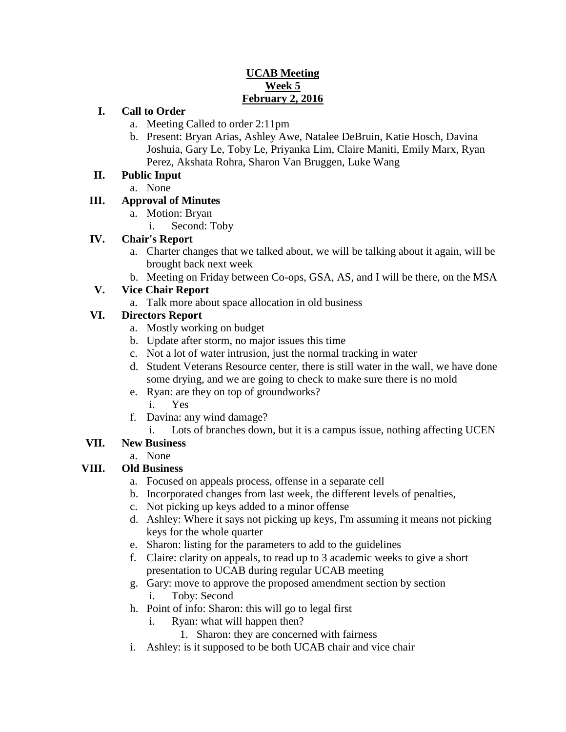### **UCAB Meeting Week 5 February 2, 2016**

#### **I. Call to Order**

- a. Meeting Called to order 2:11pm
- b. Present: Bryan Arias, Ashley Awe, Natalee DeBruin, Katie Hosch, Davina Joshuia, Gary Le, Toby Le, Priyanka Lim, Claire Maniti, Emily Marx, Ryan Perez, Akshata Rohra, Sharon Van Bruggen, Luke Wang

#### **II. Public Input**

a. None

# **III. Approval of Minutes**

- a. Motion: Bryan
	- i. Second: Toby

### **IV. Chair's Report**

- a. Charter changes that we talked about, we will be talking about it again, will be brought back next week
- b. Meeting on Friday between Co-ops, GSA, AS, and I will be there, on the MSA

### **V. Vice Chair Report**

a. Talk more about space allocation in old business

# **VI. Directors Report**

- a. Mostly working on budget
- b. Update after storm, no major issues this time
- c. Not a lot of water intrusion, just the normal tracking in water
- d. Student Veterans Resource center, there is still water in the wall, we have done some drying, and we are going to check to make sure there is no mold
- e. Ryan: are they on top of groundworks?
	- i. Yes
- f. Davina: any wind damage?
	- i. Lots of branches down, but it is a campus issue, nothing affecting UCEN

# **VII. New Business**

a. None

#### **VIII. Old Business**

- a. Focused on appeals process, offense in a separate cell
- b. Incorporated changes from last week, the different levels of penalties,
- c. Not picking up keys added to a minor offense
- d. Ashley: Where it says not picking up keys, I'm assuming it means not picking keys for the whole quarter
- e. Sharon: listing for the parameters to add to the guidelines
- f. Claire: clarity on appeals, to read up to 3 academic weeks to give a short presentation to UCAB during regular UCAB meeting
- g. Gary: move to approve the proposed amendment section by section i. Toby: Second
- h. Point of info: Sharon: this will go to legal first
	- i. Ryan: what will happen then?
		- 1. Sharon: they are concerned with fairness
- i. Ashley: is it supposed to be both UCAB chair and vice chair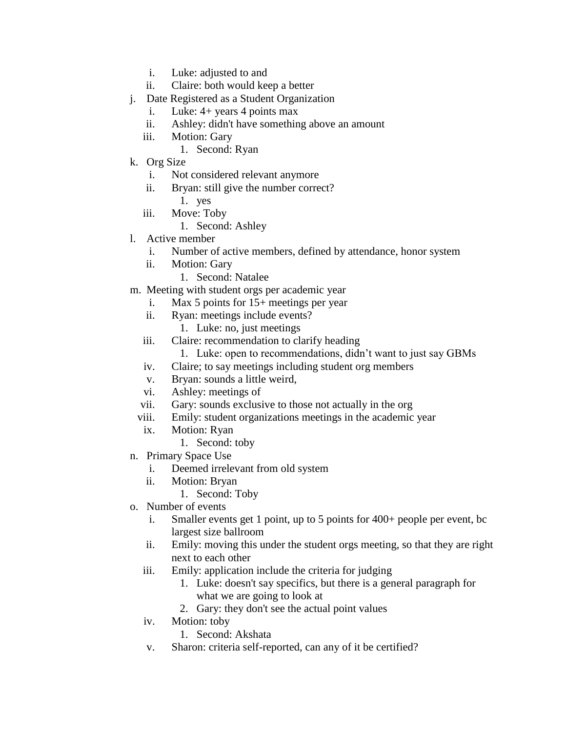- i. Luke: adjusted to and
- ii. Claire: both would keep a better
- j. Date Registered as a Student Organization
	- i. Luke: 4+ years 4 points max
	- ii. Ashley: didn't have something above an amount
	- iii. Motion: Gary
		- 1. Second: Ryan
- k. Org Size
	- i. Not considered relevant anymore
	- ii. Bryan: still give the number correct? 1. yes
	- iii. Move: Toby
		- 1. Second: Ashley
- l. Active member
	- i. Number of active members, defined by attendance, honor system
	- ii. Motion: Gary
		- 1. Second: Natalee
- m. Meeting with student orgs per academic year
	- i. Max 5 points for 15+ meetings per year
	- ii. Ryan: meetings include events?
		- 1. Luke: no, just meetings
	- iii. Claire: recommendation to clarify heading
		- 1. Luke: open to recommendations, didn't want to just say GBMs
	- iv. Claire; to say meetings including student org members
	- v. Bryan: sounds a little weird,
	- vi. Ashley: meetings of
	- vii. Gary: sounds exclusive to those not actually in the org
	- viii. Emily: student organizations meetings in the academic year
	- ix. Motion: Ryan
		- 1. Second: toby
- n. Primary Space Use
	- i. Deemed irrelevant from old system
	- ii. Motion: Bryan
		- 1. Second: Toby
- o. Number of events
	- i. Smaller events get 1 point, up to 5 points for 400+ people per event, bc largest size ballroom
	- ii. Emily: moving this under the student orgs meeting, so that they are right next to each other
	- iii. Emily: application include the criteria for judging
		- 1. Luke: doesn't say specifics, but there is a general paragraph for what we are going to look at
		- 2. Gary: they don't see the actual point values
	- iv. Motion: toby
		- 1. Second: Akshata
	- v. Sharon: criteria self-reported, can any of it be certified?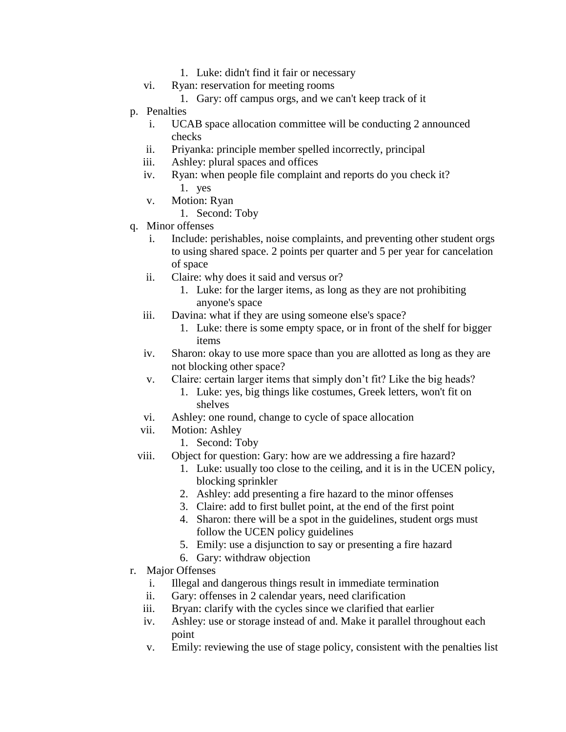- 1. Luke: didn't find it fair or necessary
- vi. Ryan: reservation for meeting rooms
	- 1. Gary: off campus orgs, and we can't keep track of it
- p. Penalties
	- i. UCAB space allocation committee will be conducting 2 announced checks
	- ii. Priyanka: principle member spelled incorrectly, principal
	- iii. Ashley: plural spaces and offices
	- iv. Ryan: when people file complaint and reports do you check it? 1. yes
	- v. Motion: Ryan
		- 1. Second: Toby
- q. Minor offenses
	- Include: perishables, noise complaints, and preventing other student orgs to using shared space. 2 points per quarter and 5 per year for cancelation of space
	- ii. Claire: why does it said and versus or?
		- 1. Luke: for the larger items, as long as they are not prohibiting anyone's space
	- iii. Davina: what if they are using someone else's space?
		- 1. Luke: there is some empty space, or in front of the shelf for bigger items
	- iv. Sharon: okay to use more space than you are allotted as long as they are not blocking other space?
	- v. Claire: certain larger items that simply don't fit? Like the big heads?
		- 1. Luke: yes, big things like costumes, Greek letters, won't fit on shelves
	- vi. Ashley: one round, change to cycle of space allocation
	- vii. Motion: Ashley
		- 1. Second: Toby
	- viii. Object for question: Gary: how are we addressing a fire hazard?
		- 1. Luke: usually too close to the ceiling, and it is in the UCEN policy, blocking sprinkler
		- 2. Ashley: add presenting a fire hazard to the minor offenses
		- 3. Claire: add to first bullet point, at the end of the first point
		- 4. Sharon: there will be a spot in the guidelines, student orgs must follow the UCEN policy guidelines
		- 5. Emily: use a disjunction to say or presenting a fire hazard
		- 6. Gary: withdraw objection
- r. Major Offenses
	- i. Illegal and dangerous things result in immediate termination
	- ii. Gary: offenses in 2 calendar years, need clarification
	- iii. Bryan: clarify with the cycles since we clarified that earlier
	- iv. Ashley: use or storage instead of and. Make it parallel throughout each point
	- v. Emily: reviewing the use of stage policy, consistent with the penalties list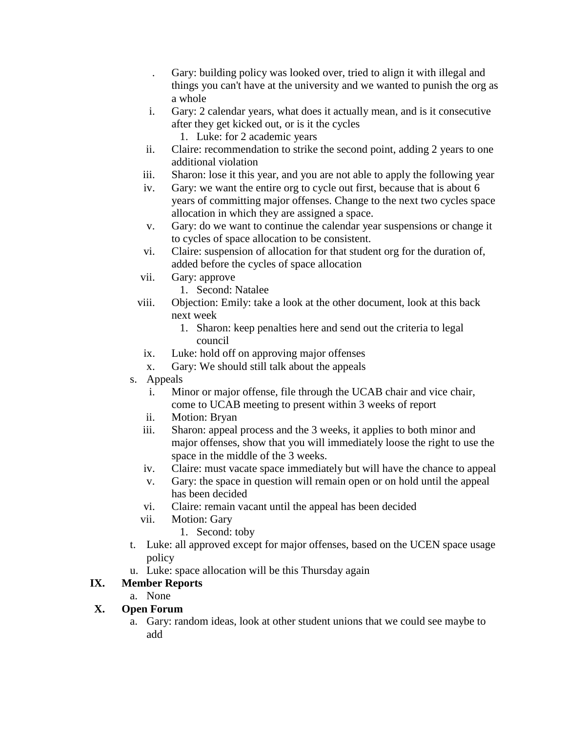- . Gary: building policy was looked over, tried to align it with illegal and things you can't have at the university and we wanted to punish the org as a whole
- i. Gary: 2 calendar years, what does it actually mean, and is it consecutive after they get kicked out, or is it the cycles
	- 1. Luke: for 2 academic years
- ii. Claire: recommendation to strike the second point, adding 2 years to one additional violation
- iii. Sharon: lose it this year, and you are not able to apply the following year
- iv. Gary: we want the entire org to cycle out first, because that is about 6 years of committing major offenses. Change to the next two cycles space allocation in which they are assigned a space.
- v. Gary: do we want to continue the calendar year suspensions or change it to cycles of space allocation to be consistent.
- vi. Claire: suspension of allocation for that student org for the duration of, added before the cycles of space allocation
- vii. Gary: approve
	- 1. Second: Natalee
- viii. Objection: Emily: take a look at the other document, look at this back next week
	- 1. Sharon: keep penalties here and send out the criteria to legal council
	- ix. Luke: hold off on approving major offenses
	- x. Gary: We should still talk about the appeals
- s. Appeals
	- i. Minor or major offense, file through the UCAB chair and vice chair, come to UCAB meeting to present within 3 weeks of report
	- ii. Motion: Bryan
	- iii. Sharon: appeal process and the 3 weeks, it applies to both minor and major offenses, show that you will immediately loose the right to use the space in the middle of the 3 weeks.
	- iv. Claire: must vacate space immediately but will have the chance to appeal
	- v. Gary: the space in question will remain open or on hold until the appeal has been decided
	- vi. Claire: remain vacant until the appeal has been decided
	- vii. Motion: Gary
		- 1. Second: toby
- t. Luke: all approved except for major offenses, based on the UCEN space usage policy
- u. Luke: space allocation will be this Thursday again

# **IX. Member Reports**

a. None

# **X. Open Forum**

a. Gary: random ideas, look at other student unions that we could see maybe to add